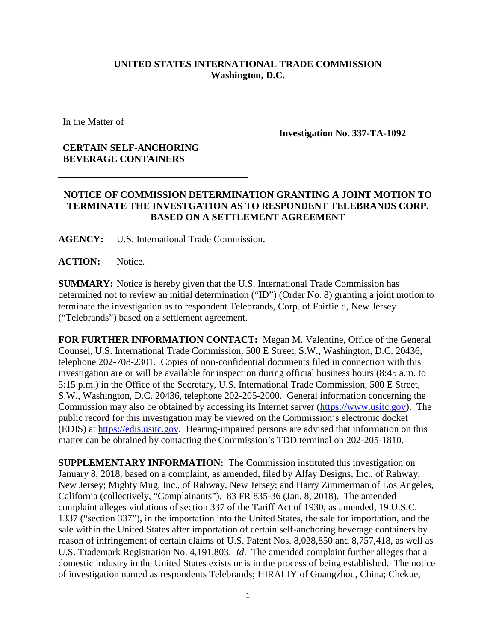## **UNITED STATES INTERNATIONAL TRADE COMMISSION Washington, D.C.**

In the Matter of

## **CERTAIN SELF-ANCHORING BEVERAGE CONTAINERS**

**Investigation No. 337-TA-1092**

## **NOTICE OF COMMISSION DETERMINATION GRANTING A JOINT MOTION TO TERMINATE THE INVESTGATION AS TO RESPONDENT TELEBRANDS CORP. BASED ON A SETTLEMENT AGREEMENT**

**AGENCY:** U.S. International Trade Commission.

**ACTION:** Notice.

**SUMMARY:** Notice is hereby given that the U.S. International Trade Commission has determined not to review an initial determination ("ID") (Order No. 8) granting a joint motion to terminate the investigation as to respondent Telebrands, Corp. of Fairfield, New Jersey ("Telebrands") based on a settlement agreement.

**FOR FURTHER INFORMATION CONTACT:** Megan M. Valentine, Office of the General Counsel, U.S. International Trade Commission, 500 E Street, S.W., Washington, D.C. 20436, telephone 202-708-2301. Copies of non-confidential documents filed in connection with this investigation are or will be available for inspection during official business hours (8:45 a.m. to 5:15 p.m.) in the Office of the Secretary, U.S. International Trade Commission, 500 E Street, S.W., Washington, D.C. 20436, telephone 202-205-2000. General information concerning the Commission may also be obtained by accessing its Internet server [\(https://www.usitc.gov\)](https://www.usitc.gov/). The public record for this investigation may be viewed on the Commission's electronic docket (EDIS) at [https://edis.usitc.gov.](https://edis.usitc.gov/) Hearing-impaired persons are advised that information on this matter can be obtained by contacting the Commission's TDD terminal on 202-205-1810.

**SUPPLEMENTARY INFORMATION:** The Commission instituted this investigation on January 8, 2018, based on a complaint, as amended, filed by Alfay Designs, Inc., of Rahway, New Jersey; Mighty Mug, Inc., of Rahway, New Jersey; and Harry Zimmerman of Los Angeles, California (collectively, "Complainants"). 83 FR 835-36 (Jan. 8, 2018). The amended complaint alleges violations of section 337 of the Tariff Act of 1930, as amended, 19 U.S.C. 1337 ("section 337"), in the importation into the United States, the sale for importation, and the sale within the United States after importation of certain self-anchoring beverage containers by reason of infringement of certain claims of U.S. Patent Nos. 8,028,850 and 8,757,418, as well as U.S. Trademark Registration No. 4,191,803. *Id*. The amended complaint further alleges that a domestic industry in the United States exists or is in the process of being established. The notice of investigation named as respondents Telebrands; HIRALIY of Guangzhou, China; Chekue,